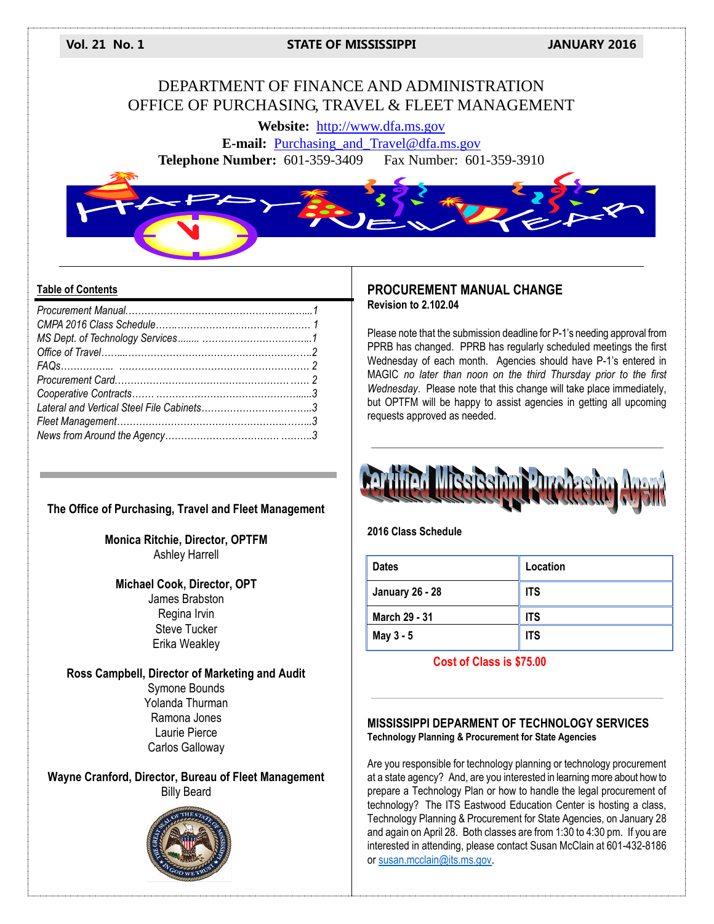**Vol. 21 No. 1 STATE OF MISSISSIPPI JANUARY 2016**

# DEPARTMENT OF FINANCE AND ADMINISTRATION OFFICE OF PURCHASING, TRAVEL & FLEET MANAGEMENT

**Website:** [http://www.dfa.ms.gov](http://www.dfa.ms.gov/)

**E-mail:** [Purchasing\\_and\\_Travel@dfa.ms.gov](mailto:Purchasing_and_Travel@dfa.ms.gov) **Telephone Number:** 601-359-3409 Fax Number: 601-359-3910



#### **Table of Contents**

## **The Office of Purchasing, Travel and Fleet Management**

**Monica Ritchie, Director, OPTFM** Ashley Harrell

## **Michael Cook, Director, OPT** James Brabston Regina Irvin Steve Tucker Erika Weakley

**Ross Campbell, Director of Marketing and Audit** Symone Bounds Yolanda Thurman Ramona Jones Laurie Pierce Carlos Galloway

**Wayne Cranford, Director, Bureau of Fleet Management** Billy Beard



## **PROCUREMENT MANUAL CHANGE Revision to 2.102.04**

Please note that the submission deadline for P-1's needing approval from PPRB has changed. PPRB has regularly scheduled meetings the first Wednesday of each month. Agencies should have P-1's entered in MAGIC *no later than noon on the third Thursday prior to the first Wednesday*. Please note that this change will take place immediately, but OPTFM will be happy to assist agencies in getting all upcoming requests approved as needed.



### **2016 Class Schedule**

| <b>Dates</b>           | Location   |
|------------------------|------------|
| <b>January 26 - 28</b> | <b>ITS</b> |
| <b>March 29 - 31</b>   | <b>ITS</b> |
| May 3 - 5              | <b>ITS</b> |

## **Cost of Class is \$75.00**

#### **MISSISSIPPI DEPARMENT OF TECHNOLOGY SERVICES Technology Planning & Procurement for State Agencies**

Are you responsible for technology planning or technology procurement at a state agency? And, are you interested in learning more about how to prepare a Technology Plan or how to handle the legal procurement of technology? The ITS Eastwood Education Center is hosting a class, Technology Planning & Procurement for State Agencies, on January 28 and again on April 28. Both classes are from 1:30 to 4:30 pm. If you are interested in attending, please contact Susan McClain at 601-432-8186 o[r susan.mcclain@its.ms.gov.](mailto:susan.mcclain@its.ms.gov)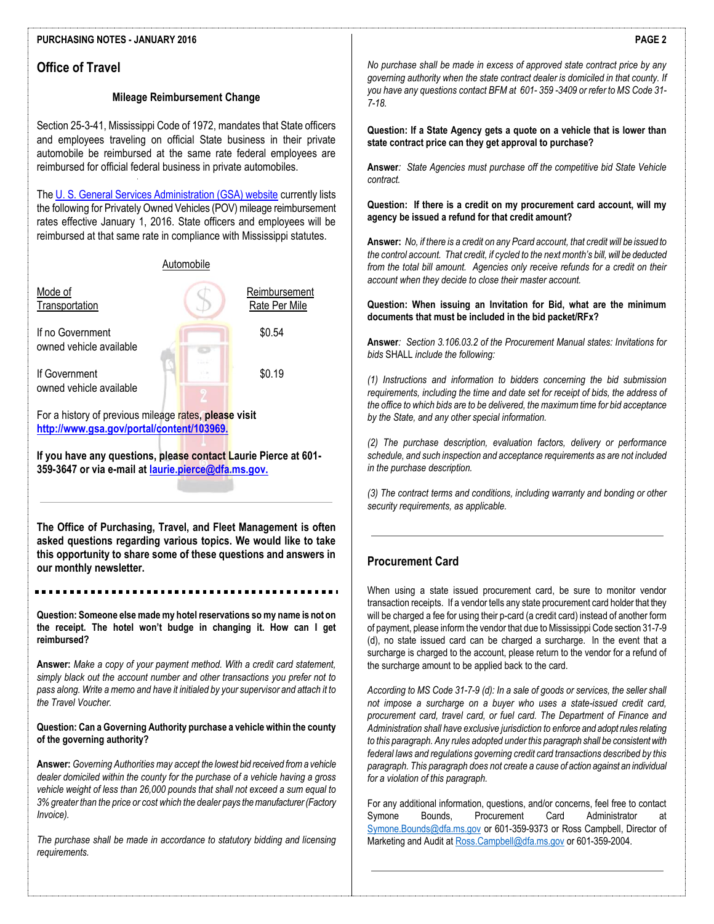#### **PURCHASING NOTES - JANUARY 2016**

## **Office of Travel**

#### **Mileage Reimbursement Change**

Section 25-3-41, Mississippi Code of 1972, mandates that State officers and employees traveling on official State business in their private automobile be reimbursed at the same rate federal employees are reimbursed for official federal business in private automobiles.

Th[e U. S. General Services Administration \(GSA\) website](http://www.gsa.gov/portal/content/100715) currently lists the following for Privately Owned Vehicles (POV) mileage reimbursement rates effective January 1, 2016. State officers and employees will be reimbursed at that same rate in compliance with Mississippi statutes.



**If you have any questions, please contact Laurie Pierce at 601- 359-3647 or via e-mail at [laurie.pierce@dfa.ms.gov.](mailto:laurie.pierce@dfa.ms.gov)**

**The Office of Purchasing, Travel, and Fleet Management is often asked questions regarding various topics. We would like to take this opportunity to share some of these questions and answers in our monthly newsletter.**

**Question: Someone else made my hotel reservations so my name is not on the receipt. The hotel won't budge in changing it. How can I get reimbursed?**

**Answer:** *Make a copy of your payment method. With a credit card statement, simply black out the account number and other transactions you prefer not to pass along. Write a memo and have it initialed by your supervisor and attach it to the Travel Voucher.* 

#### **Question: Can a Governing Authority purchase a vehicle within the county of the governing authority?**

**Answer:** *Governing Authorities may accept the lowest bid received froma vehicle dealer domiciled within the county for the purchase of a vehicle having a gross vehicle weight of less than 26,000 pounds that shall not exceed a sum equal to 3% greater than the price or cost which the dealer pays the manufacturer (Factory Invoice).*

*The purchase shall be made in accordance to statutory bidding and licensing requirements.*

*No purchase shall be made in excess of approved state contract price by any governing authority when the state contract dealer is domiciled in that county. If you have any questions contact BFM at 601- 359 -3409 or refer to MS Code 31- 7-18.*

**Question: If a State Agency gets a quote on a vehicle that is lower than state contract price can they get approval to purchase?**

**Answer***: State Agencies must purchase off the competitive bid State Vehicle contract.*

**Question: If there is a credit on my procurement card account, will my agency be issued a refund for that credit amount?**

**Answer:** *No, if there is a credit on any Pcard account, that credit will be issued to the control account. That credit, if cycled to the next month's bill, will be deducted from the total bill amount. Agencies only receive refunds for a credit on their account when they decide to close their master account.* 

#### **Question: When issuing an Invitation for Bid, what are the minimum documents that must be included in the bid packet/RFx?**

**Answer***: Section 3.106.03.2 of the Procurement Manual states: Invitations for bids* SHALL *include the following:* 

*(1) Instructions and information to bidders concerning the bid submission requirements, including the time and date set for receipt of bids, the address of the office to which bids are to be delivered, the maximum time for bid acceptance by the State, and any other special information.* 

*(2) The purchase description, evaluation factors, delivery or performance schedule, and such inspection and acceptance requirements as are not included in the purchase description.* 

*(3) The contract terms and conditions, including warranty and bonding or other security requirements, as applicable.*

## **Procurement Card**

When using a state issued procurement card, be sure to monitor vendor transaction receipts. If a vendor tells any state procurement card holder that they will be charged a fee for using their p-card (a credit card) instead of another form of payment, please inform the vendor that due to Mississippi Code section 31-7-9 (d), no state issued card can be charged a surcharge. In the event that a surcharge is charged to the account, please return to the vendor for a refund of the surcharge amount to be applied back to the card.

*According to MS Code 31-7-9 (d): In a sale of goods or services, the seller shall not impose a surcharge on a buyer who uses a state-issued credit card, procurement card, travel card, or fuel card. The Department of Finance and Administration shall have exclusive jurisdiction to enforce and adopt rules relating to this paragraph. Any rules adopted under this paragraph shall be consistent with federal laws and regulations governing credit card transactions described by this paragraph. This paragraph does not create a cause of action against an individual for a violation of this paragraph.*

For any additional information, questions, and/or concerns, feel free to contact Symone Bounds, Procurement Card Administrator at [Symone.Bounds@dfa.ms.gov](mailto:Symone.Bounds@dfa.ms.gov) or 601-359-9373 or Ross Campbell, Director of Marketing and Audit a[t Ross.Campbell@dfa.ms.gov](mailto:Ross.Campbell@dfa.ms.gov) or 601-359-2004.